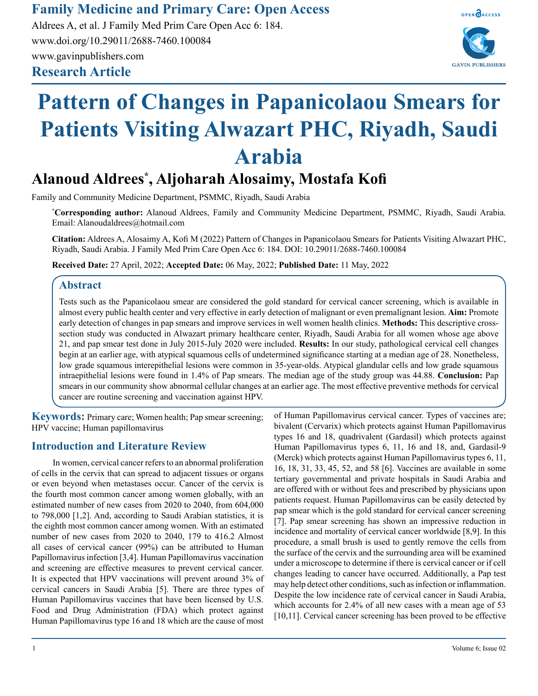**Family Medicine and Primary Care: Open Access**

**Research Article** Aldrees A, et al. J Family Med Prim Care Open Acc 6: 184. www.doi.org/10.29011/2688-7460.100084 www.gavinpublishers.com



# **Pattern of Changes in Papanicolaou Smears for Patients Visiting Alwazart PHC, Riyadh, Saudi Arabia**

# **Alanoud Aldrees\* , Aljoharah Alosaimy, Mostafa Kofi**

Family and Community Medicine Department, PSMMC, Riyadh, Saudi Arabia

**\* Corresponding author:** Alanoud Aldrees, Family and Community Medicine Department, PSMMC, Riyadh, Saudi Arabia. Email: Alanoudaldrees@hotmail.com

**Citation:** Aldrees A, Alosaimy A, Kofi M (2022) Pattern of Changes in Papanicolaou Smears for Patients Visiting Alwazart PHC, Riyadh, Saudi Arabia. J Family Med Prim Care Open Acc 6: 184. DOI: 10.29011/2688-7460.100084

**Received Date:** 27 April, 2022; **Accepted Date:** 06 May, 2022; **Published Date:** 11 May, 2022

# **Abstract**

Tests such as the Papanicolaou smear are considered the gold standard for cervical cancer screening, which is available in almost every public health center and very effective in early detection of malignant or even premalignant lesion. **Aim:** Promote early detection of changes in pap smears and improve services in well women health clinics. **Methods:** This descriptive crosssection study was conducted in Alwazart primary healthcare center, Riyadh, Saudi Arabia for all women whose age above 21, and pap smear test done in July 2015-July 2020 were included. **Results:** In our study, pathological cervical cell changes begin at an earlier age, with atypical squamous cells of undetermined significance starting at a median age of 28. Nonetheless, low grade squamous interepithelial lesions were common in 35-year-olds. Atypical glandular cells and low grade squamous intraepithelial lesions were found in 1.4% of Pap smears. The median age of the study group was 44.88. **Conclusion:** Pap smears in our community show abnormal cellular changes at an earlier age. The most effective preventive methods for cervical cancer are routine screening and vaccination against HPV.

**Keywords:** Primary care; Women health; Pap smear screening; HPV vaccine; Human papillomavirus

# **Introduction and Literature Review**

In women, cervical cancer refers to an abnormal proliferation of cells in the cervix that can spread to adjacent tissues or organs or even beyond when metastases occur. Cancer of the cervix is the fourth most common cancer among women globally, with an estimated number of new cases from 2020 to 2040, from 604,000 to 798,000 [1,2]. And, according to Saudi Arabian statistics, it is the eighth most common cancer among women. With an estimated number of new cases from 2020 to 2040, 179 to 416.2 Almost all cases of cervical cancer (99%) can be attributed to Human Papillomavirus infection [3,4]. Human Papillomavirus vaccination and screening are effective measures to prevent cervical cancer. It is expected that HPV vaccinations will prevent around 3% of cervical cancers in Saudi Arabia [5]. There are three types of Human Papillomavirus vaccines that have been licensed by U.S. Food and Drug Administration (FDA) which protect against Human Papillomavirus type 16 and 18 which are the cause of most

of Human Papillomavirus cervical cancer. Types of vaccines are; bivalent (Cervarix) which protects against Human Papillomavirus types 16 and 18, quadrivalent (Gardasil) which protects against Human Papillomavirus types 6, 11, 16 and 18, and, Gardasil-9 (Merck) which protects against Human Papillomavirus types 6, 11, 16, 18, 31, 33, 45, 52, and 58 [6]. Vaccines are available in some tertiary governmental and private hospitals in Saudi Arabia and are offered with or without fees and prescribed by physicians upon patients request. Human Papillomavirus can be easily detected by pap smear which is the gold standard for cervical cancer screening [7]. Pap smear screening has shown an impressive reduction in incidence and mortality of cervical cancer worldwide [8,9]. In this procedure, a small brush is used to gently remove the cells from the surface of the cervix and the surrounding area will be examined under a microscope to determine if there is cervical cancer or if cell changes leading to cancer have occurred. Additionally, a Pap test may help detect other conditions, such as infection or inflammation. Despite the low incidence rate of cervical cancer in Saudi Arabia, which accounts for 2.4% of all new cases with a mean age of 53 [10,11]. Cervical cancer screening has been proved to be effective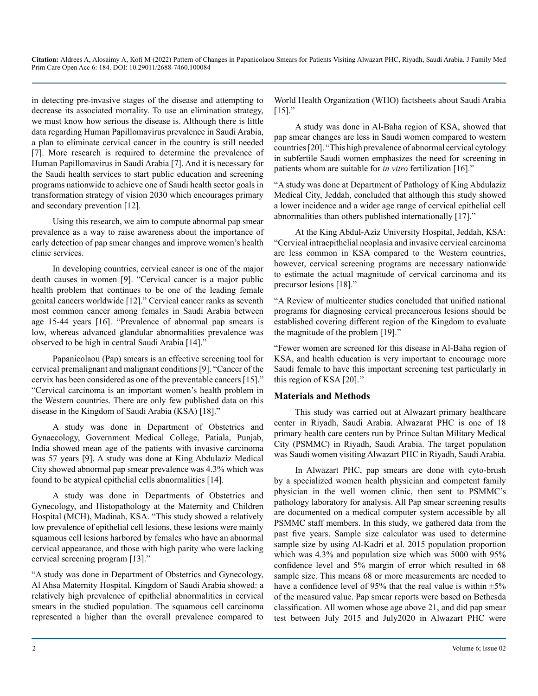in detecting pre-invasive stages of the disease and attempting to decrease its associated mortality. To use an elimination strategy, we must know how serious the disease is. Although there is little data regarding Human Papillomavirus prevalence in Saudi Arabia, a plan to eliminate cervical cancer in the country is still needed [7]. More research is required to determine the prevalence of Human Papillomavirus in Saudi Arabia [7]. And it is necessary for the Saudi health services to start public education and screening programs nationwide to achieve one of Saudi health sector goals in transformation strategy of vision 2030 which encourages primary and secondary prevention [12].

Using this research, we aim to compute abnormal pap smear prevalence as a way to raise awareness about the importance of early detection of pap smear changes and improve women's health clinic services.

In developing countries, cervical cancer is one of the major death causes in women [9]. "Cervical cancer is a major public health problem that continues to be one of the leading female genital cancers worldwide [12]." Cervical cancer ranks as seventh most common cancer among females in Saudi Arabia between age 15-44 years [16]. "Prevalence of abnormal pap smears is low, whereas advanced glandular abnormalities prevalence was observed to be high in central Saudi Arabia [14]."

Papanicolaou (Pap) smears is an effective screening tool for cervical premalignant and malignant conditions [9]. "Cancer of the cervix has been considered as one of the preventable cancers [15]." "Cervical carcinoma is an important women's health problem in the Western countries. There are only few published data on this disease in the Kingdom of Saudi Arabia (KSA) [18]."

A study was done in Department of Obstetrics and Gynaecology, Government Medical College, Patiala, Punjab, India showed mean age of the patients with invasive carcinoma was 57 years [9]. A study was done at King Abdulaziz Medical City showed abnormal pap smear prevalence was 4.3% which was found to be atypical epithelial cells abnormalities [14].

A study was done in Departments of Obstetrics and Gynecology, and Histopathology at the Maternity and Children Hospital (MCH), Madinah, KSA. "This study showed a relatively low prevalence of epithelial cell lesions, these lesions were mainly squamous cell lesions harbored by females who have an abnormal cervical appearance, and those with high parity who were lacking cervical screening program [13]."

"A study was done in Department of Obstetrics and Gynecology, Al Ahsa Maternity Hospital, Kingdom of Saudi Arabia showed: a relatively high prevalence of epithelial abnormalities in cervical smears in the studied population. The squamous cell carcinoma represented a higher than the overall prevalence compared to

World Health Organization (WHO) factsheets about Saudi Arabia  $[15]$ ."

A study was done in Al-Baha region of KSA, showed that pap smear changes are less in Saudi women compared to western countries [20]. "This high prevalence of abnormal cervical cytology in subfertile Saudi women emphasizes the need for screening in patients whom are suitable for *in vitro* fertilization [16]."

"A study was done at Department of Pathology of King Abdulaziz Medical City, Jeddah, concluded that although this study showed a lower incidence and a wider age range of cervical epithelial cell abnormalities than others published internationally [17]."

At the King Abdul-Aziz University Hospital, Jeddah, KSA: "Cervical intraepithelial neoplasia and invasive cervical carcinoma are less common in KSA compared to the Western countries, however, cervical screening programs are necessary nationwide to estimate the actual magnitude of cervical carcinoma and its precursor lesions [18]."

"A Review of multicenter studies concluded that unified national programs for diagnosing cervical precancerous lesions should be established covering different region of the Kingdom to evaluate the magnitude of the problem [19]."

"Fewer women are screened for this disease in Al-Baha region of KSA, and health education is very important to encourage more Saudi female to have this important screening test particularly in this region of KSA [20].''

#### **Materials and Methods**

This study was carried out at Alwazart primary healthcare center in Riyadh, Saudi Arabia. Alwazarat PHC is one of 18 primary health care centers run by Prince Sultan Military Medical City (PSMMC) in Riyadh, Saudi Arabia. The target population was Saudi women visiting Alwazart PHC in Riyadh, Saudi Arabia.

In Alwazart PHC, pap smears are done with cyto-brush by a specialized women health physician and competent family physician in the well women clinic, then sent to PSMMC's pathology laboratory for analysis. All Pap smear screening results are documented on a medical computer system accessible by all PSMMC staff members. In this study, we gathered data from the past five years. Sample size calculator was used to determine sample size by using Al-Kadri et al. 2015 population proportion which was 4.3% and population size which was 5000 with 95% confidence level and 5% margin of error which resulted in 68 sample size. This means 68 or more measurements are needed to have a confidence level of 95% that the real value is within  $\pm$ 5% of the measured value. Pap smear reports were based on Bethesda classification. All women whose age above 21, and did pap smear test between July 2015 and July2020 in Alwazart PHC were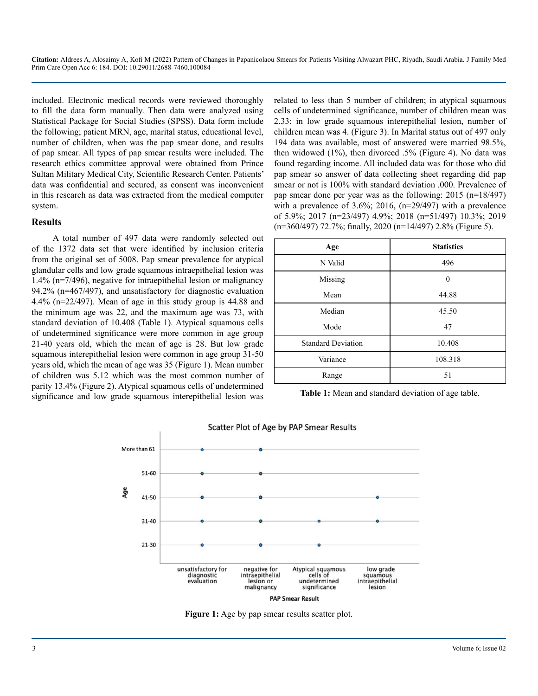included. Electronic medical records were reviewed thoroughly to fill the data form manually. Then data were analyzed using Statistical Package for Social Studies (SPSS). Data form include the following; patient MRN, age, marital status, educational level, number of children, when was the pap smear done, and results of pap smear. All types of pap smear results were included. The research ethics committee approval were obtained from Prince Sultan Military Medical City, Scientific Research Center. Patients' data was confidential and secured, as consent was inconvenient in this research as data was extracted from the medical computer system.

#### **Results**

A total number of 497 data were randomly selected out of the 1372 data set that were identified by inclusion criteria from the original set of 5008. Pap smear prevalence for atypical glandular cells and low grade squamous intraepithelial lesion was 1.4% (n=7/496), negative for intraepithelial lesion or malignancy 94.2% (n=467/497), and unsatisfactory for diagnostic evaluation 4.4% (n=22/497). Mean of age in this study group is 44.88 and the minimum age was 22, and the maximum age was 73, with standard deviation of 10.408 (Table 1). Atypical squamous cells of undetermined significance were more common in age group 21-40 years old, which the mean of age is 28. But low grade squamous interepithelial lesion were common in age group 31-50 years old, which the mean of age was 35 (Figure 1). Mean number of children was 5.12 which was the most common number of parity 13.4% (Figure 2). Atypical squamous cells of undetermined significance and low grade squamous interepithelial lesion was

related to less than 5 number of children; in atypical squamous cells of undetermined significance, number of children mean was 2.33; in low grade squamous interepithelial lesion, number of children mean was 4. (Figure 3). In Marital status out of 497 only 194 data was available, most of answered were married 98.5%, then widowed  $(1\%)$ , then divorced .5% (Figure 4). No data was found regarding income. All included data was for those who did pap smear so answer of data collecting sheet regarding did pap smear or not is 100% with standard deviation .000. Prevalence of pap smear done per year was as the following: 2015 (n=18/497) with a prevalence of  $3.6\%$ ;  $2016$ ,  $(n=29/497)$  with a prevalence of 5.9%; 2017 (n=23/497) 4.9%; 2018 (n=51/497) 10.3%; 2019 (n=360/497) 72.7%; finally, 2020 (n=14/497) 2.8% (Figure 5).

| Age                       | <b>Statistics</b> |
|---------------------------|-------------------|
| N Valid                   | 496               |
| Missing                   | $\theta$          |
| Mean                      | 44.88             |
| Median                    | 45.50             |
| Mode                      | 47                |
| <b>Standard Deviation</b> | 10.408            |
| Variance                  | 108.318           |
| Range                     | 51                |

**Table 1:** Mean and standard deviation of age table.



**Figure 1:** Age by pap smear results scatter plot.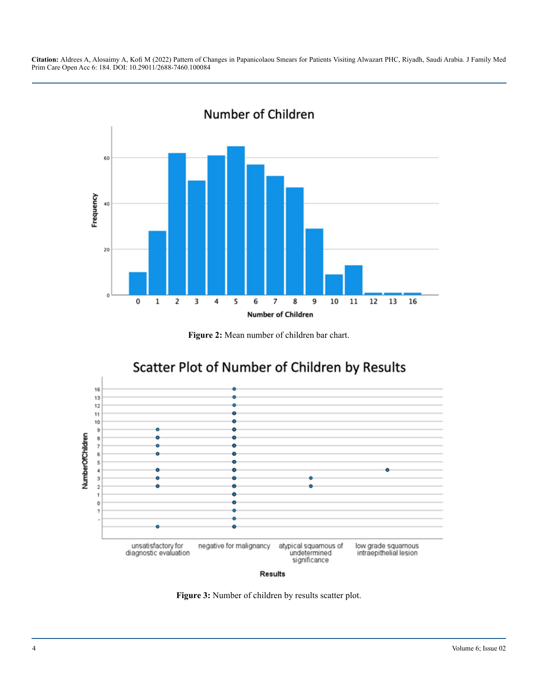

**Figure 2:** Mean number of children bar chart.



Results

Figure 3: Number of children by results scatter plot.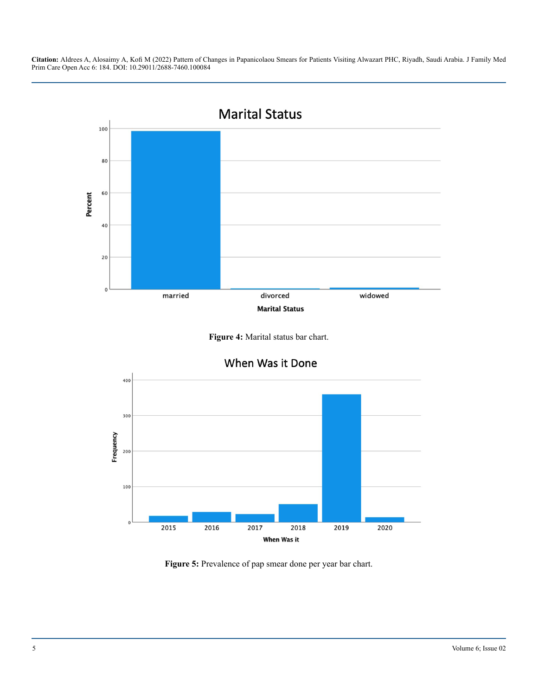





**Figure 5:** Prevalence of pap smear done per year bar chart.